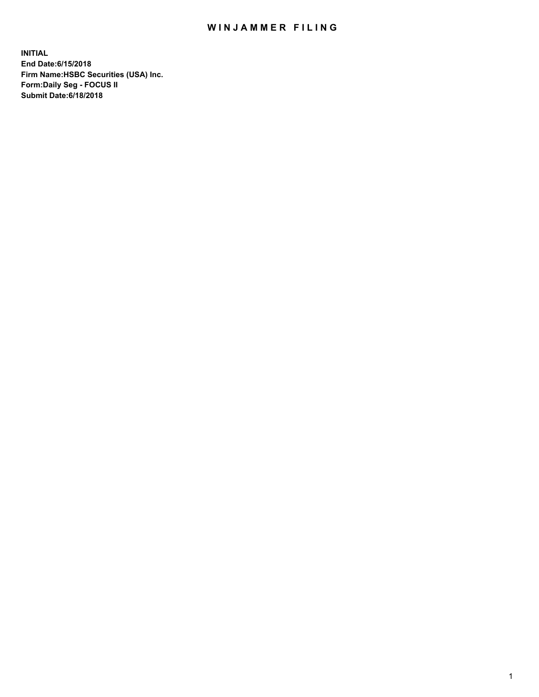## WIN JAMMER FILING

**INITIAL End Date:6/15/2018 Firm Name:HSBC Securities (USA) Inc. Form:Daily Seg - FOCUS II Submit Date:6/18/2018**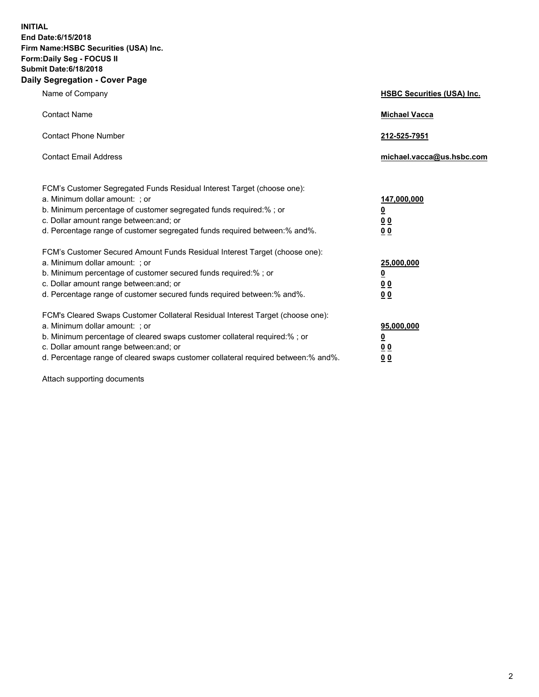**INITIAL End Date:6/15/2018 Firm Name:HSBC Securities (USA) Inc. Form:Daily Seg - FOCUS II Submit Date:6/18/2018 Daily Segregation - Cover Page**

| Name of Company                                                                                                                                                                                                                                                                                                                | <b>HSBC Securities (USA) Inc.</b>                                          |
|--------------------------------------------------------------------------------------------------------------------------------------------------------------------------------------------------------------------------------------------------------------------------------------------------------------------------------|----------------------------------------------------------------------------|
| <b>Contact Name</b>                                                                                                                                                                                                                                                                                                            | <b>Michael Vacca</b>                                                       |
| <b>Contact Phone Number</b>                                                                                                                                                                                                                                                                                                    | 212-525-7951                                                               |
| <b>Contact Email Address</b>                                                                                                                                                                                                                                                                                                   | michael.vacca@us.hsbc.com                                                  |
| FCM's Customer Segregated Funds Residual Interest Target (choose one):<br>a. Minimum dollar amount: : or<br>b. Minimum percentage of customer segregated funds required:% ; or<br>c. Dollar amount range between: and; or<br>d. Percentage range of customer segregated funds required between:% and%.                         | 147,000,000<br>$\overline{\mathbf{0}}$<br>0 <sub>0</sub><br>0 <sub>0</sub> |
| FCM's Customer Secured Amount Funds Residual Interest Target (choose one):<br>a. Minimum dollar amount: ; or<br>b. Minimum percentage of customer secured funds required:%; or<br>c. Dollar amount range between: and; or<br>d. Percentage range of customer secured funds required between:% and%.                            | 25,000,000<br><u>0</u><br>0 <sub>0</sub><br>00                             |
| FCM's Cleared Swaps Customer Collateral Residual Interest Target (choose one):<br>a. Minimum dollar amount: ; or<br>b. Minimum percentage of cleared swaps customer collateral required:% ; or<br>c. Dollar amount range between: and; or<br>d. Percentage range of cleared swaps customer collateral required between:% and%. | 95,000,000<br><u>0</u><br>00<br>0 <sub>0</sub>                             |

Attach supporting documents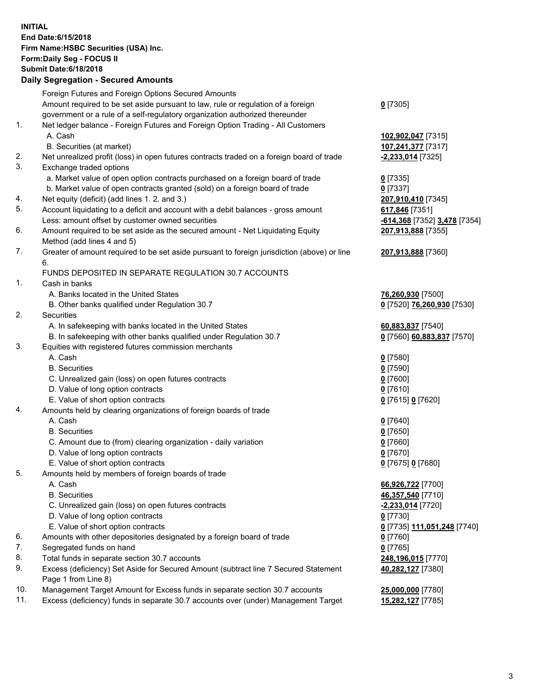**INITIAL End Date:6/15/2018 Firm Name:HSBC Securities (USA) Inc. Form:Daily Seg - FOCUS II Submit Date:6/18/2018 Daily Segregation - Secured Amounts**

Foreign Futures and Foreign Options Secured Amounts Amount required to be set aside pursuant to law, rule or regulation of a foreign government or a rule of a self-regulatory organization authorized thereunder **0** [7305] 1. Net ledger balance - Foreign Futures and Foreign Option Trading - All Customers A. Cash **102,902,047** [7315] B. Securities (at market) **107,241,377** [7317] 2. Net unrealized profit (loss) in open futures contracts traded on a foreign board of trade **-2,233,014** [7325] 3. Exchange traded options a. Market value of open option contracts purchased on a foreign board of trade **0** [7335] b. Market value of open contracts granted (sold) on a foreign board of trade **0** [7337] 4. Net equity (deficit) (add lines 1. 2. and 3.) **207,910,410** [7345] 5. Account liquidating to a deficit and account with a debit balances - gross amount **617,846** [7351] Less: amount offset by customer owned securities **-614,368** [7352] **3,478** [7354] 6. Amount required to be set aside as the secured amount - Net Liquidating Equity Method (add lines 4 and 5) **207,913,888** [7355] 7. Greater of amount required to be set aside pursuant to foreign jurisdiction (above) or line 6. **207,913,888** [7360] FUNDS DEPOSITED IN SEPARATE REGULATION 30.7 ACCOUNTS 1. Cash in banks A. Banks located in the United States **76,260,930** [7500] B. Other banks qualified under Regulation 30.7 **0** [7520] **76,260,930** [7530] 2. Securities A. In safekeeping with banks located in the United States **60,883,837** [7540] B. In safekeeping with other banks qualified under Regulation 30.7 **0** [7560] **60,883,837** [7570] 3. Equities with registered futures commission merchants A. Cash **0** [7580] B. Securities **0** [7590] C. Unrealized gain (loss) on open futures contracts **0** [7600] D. Value of long option contracts **0** [7610] E. Value of short option contracts **0** [7615] **0** [7620] 4. Amounts held by clearing organizations of foreign boards of trade A. Cash **0** [7640] B. Securities **0** [7650] C. Amount due to (from) clearing organization - daily variation **0** [7660] D. Value of long option contracts **0** [7670] E. Value of short option contracts **0** [7675] **0** [7680] 5. Amounts held by members of foreign boards of trade A. Cash **66,926,722** [7700] B. Securities **46,357,540** [7710] C. Unrealized gain (loss) on open futures contracts **-2,233,014** [7720] D. Value of long option contracts **0** [7730] E. Value of short option contracts **0** [7735] **111,051,248** [7740] 6. Amounts with other depositories designated by a foreign board of trade **0** [7760] 7. Segregated funds on hand **0** [7765] 8. Total funds in separate section 30.7 accounts **248,196,015** [7770] 9. Excess (deficiency) Set Aside for Secured Amount (subtract line 7 Secured Statement Page 1 from Line 8) **40,282,127** [7380] 10. Management Target Amount for Excess funds in separate section 30.7 accounts **25,000,000** [7780] 11. Excess (deficiency) funds in separate 30.7 accounts over (under) Management Target **15,282,127** [7785]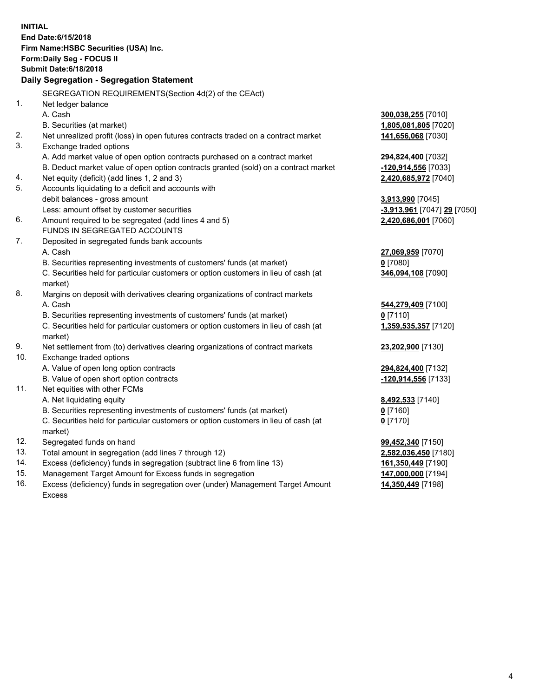|     | <b>INITIAL</b><br>End Date: 6/15/2018<br>Firm Name: HSBC Securities (USA) Inc.<br><b>Form:Daily Seg - FOCUS II</b><br><b>Submit Date:6/18/2018</b><br>Daily Segregation - Segregation Statement |                                            |
|-----|-------------------------------------------------------------------------------------------------------------------------------------------------------------------------------------------------|--------------------------------------------|
|     |                                                                                                                                                                                                 |                                            |
| 1.  | SEGREGATION REQUIREMENTS (Section 4d(2) of the CEAct)                                                                                                                                           |                                            |
|     | Net ledger balance<br>A. Cash                                                                                                                                                                   |                                            |
|     |                                                                                                                                                                                                 | 300,038,255 [7010]                         |
| 2.  | B. Securities (at market)                                                                                                                                                                       | 1,805,081,805 [7020]<br>141,656,068 [7030] |
| 3.  | Net unrealized profit (loss) in open futures contracts traded on a contract market<br>Exchange traded options                                                                                   |                                            |
|     | A. Add market value of open option contracts purchased on a contract market                                                                                                                     | 294,824,400 [7032]                         |
|     | B. Deduct market value of open option contracts granted (sold) on a contract market                                                                                                             | <u>-120,914,556</u> [7033]                 |
| 4.  | Net equity (deficit) (add lines 1, 2 and 3)                                                                                                                                                     | 2,420,685,972 [7040]                       |
| 5.  | Accounts liquidating to a deficit and accounts with                                                                                                                                             |                                            |
|     | debit balances - gross amount                                                                                                                                                                   | <b>3,913,990</b> [7045]                    |
|     | Less: amount offset by customer securities                                                                                                                                                      | <mark>-3,913,961</mark> [7047] 29 [7050]   |
| 6.  | Amount required to be segregated (add lines 4 and 5)                                                                                                                                            | 2,420,686,001 [7060]                       |
|     | FUNDS IN SEGREGATED ACCOUNTS                                                                                                                                                                    |                                            |
| 7.  | Deposited in segregated funds bank accounts                                                                                                                                                     |                                            |
|     | A. Cash                                                                                                                                                                                         | 27,069,959 [7070]                          |
|     | B. Securities representing investments of customers' funds (at market)                                                                                                                          | $0$ [7080]                                 |
|     | C. Securities held for particular customers or option customers in lieu of cash (at                                                                                                             | 346,094,108 [7090]                         |
|     | market)                                                                                                                                                                                         |                                            |
| 8.  | Margins on deposit with derivatives clearing organizations of contract markets                                                                                                                  |                                            |
|     | A. Cash                                                                                                                                                                                         | 544,279,409 [7100]                         |
|     | B. Securities representing investments of customers' funds (at market)                                                                                                                          | $0$ [7110]                                 |
|     | C. Securities held for particular customers or option customers in lieu of cash (at                                                                                                             | 1,359,535,357 [7120]                       |
|     | market)                                                                                                                                                                                         |                                            |
| 9.  | Net settlement from (to) derivatives clearing organizations of contract markets                                                                                                                 | 23,202,900 [7130]                          |
| 10. | Exchange traded options                                                                                                                                                                         |                                            |
|     | A. Value of open long option contracts                                                                                                                                                          | 294,824,400 [7132]                         |
|     | B. Value of open short option contracts                                                                                                                                                         | <u>-120,914,556</u> [7133]                 |
| 11. | Net equities with other FCMs                                                                                                                                                                    |                                            |
|     | A. Net liquidating equity                                                                                                                                                                       | 8,492,533 [7140]                           |
|     | B. Securities representing investments of customers' funds (at market)                                                                                                                          | $0$ [7160]                                 |
|     | C. Securities held for particular customers or option customers in lieu of cash (at                                                                                                             | <u>0</u> [7170]                            |
| 12. | market)<br>Segregated funds on hand                                                                                                                                                             |                                            |
| 13. | Total amount in segregation (add lines 7 through 12)                                                                                                                                            | 99,452,340 [7150]<br>2,582,036,450 [7180]  |
| 14. | Excess (deficiency) funds in segregation (subtract line 6 from line 13)                                                                                                                         | 161,350,449 [7190]                         |
| 15. | Management Target Amount for Excess funds in segregation                                                                                                                                        | <u>147,000,000</u> [7194]                  |
|     |                                                                                                                                                                                                 |                                            |

16. Excess (deficiency) funds in segregation over (under) Management Target Amount Excess

**14,350,449** [7198]